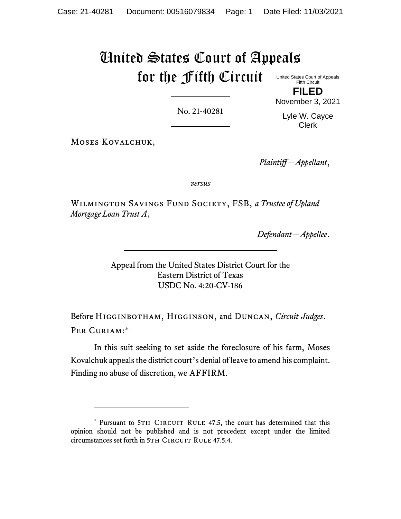# United States Court of Appeals for the Fifth Circuit

United States Court of Appeals Fifth Circuit **FILED**

No. 21-40281

November 3, 2021 Lyle W. Cayce

Clerk

MOSES KOVALCHUK,

*Plaintiff—Appellant*,

*versus*

Wilmington Savings Fund Society, FSB, *a Trustee of Upland Mortgage Loan Trust A*,

*Defendant—Appellee*.

Appeal from the United States District Court for the Eastern District of Texas USDC No. 4:20-CV-186

Before Higginbotham, Higginson, and Duncan, *Circuit Judges*. Per Curiam:\*

In this suit seeking to set aside the foreclosure of his farm, Moses Kovalchuk appeals the district court's denial of leave to amend his complaint. Finding no abuse of discretion, we AFFIRM.

<sup>\*</sup> Pursuant to 5TH CIRCUIT RULE 47.5, the court has determined that this opinion should not be published and is not precedent except under the limited circumstances set forth in 5TH CIRCUIT RULE 47.5.4.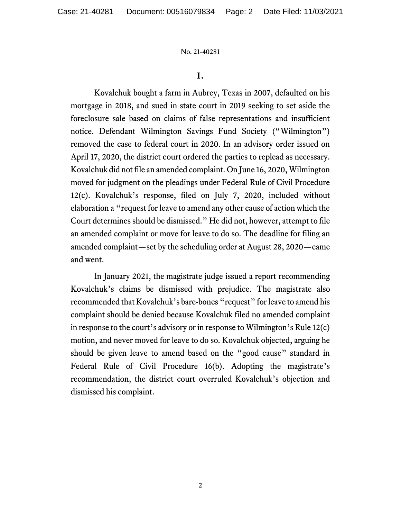No. 21-40281

### **I.**

Kovalchuk bought a farm in Aubrey, Texas in 2007, defaulted on his mortgage in 2018, and sued in state court in 2019 seeking to set aside the foreclosure sale based on claims of false representations and insufficient notice. Defendant Wilmington Savings Fund Society ("Wilmington") removed the case to federal court in 2020. In an advisory order issued on April 17, 2020, the district court ordered the parties to replead as necessary. Kovalchuk did not file an amended complaint. On June 16, 2020, Wilmington moved for judgment on the pleadings under Federal Rule of Civil Procedure 12(c). Kovalchuk's response, filed on July 7, 2020, included without elaboration a "request for leave to amend any other cause of action which the Court determines should be dismissed." He did not, however, attempt to file an amended complaint or move for leave to do so. The deadline for filing an amended complaint—set by the scheduling order at August 28, 2020—came and went.

In January 2021, the magistrate judge issued a report recommending Kovalchuk's claims be dismissed with prejudice. The magistrate also recommended that Kovalchuk's bare-bones "request" for leave to amend his complaint should be denied because Kovalchuk filed no amended complaint in response to the court's advisory or in response to Wilmington's Rule 12(c) motion, and never moved for leave to do so. Kovalchuk objected, arguing he should be given leave to amend based on the "good cause" standard in Federal Rule of Civil Procedure 16(b). Adopting the magistrate's recommendation, the district court overruled Kovalchuk's objection and dismissed his complaint.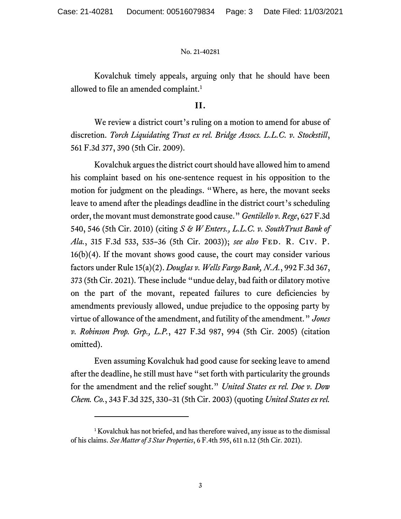#### No. 21-40281

Kovalchuk timely appeals, arguing only that he should have been allowed to file an amended complaint.<sup>1</sup>

## **II.**

We review a district court's ruling on a motion to amend for abuse of discretion. *Torch Liquidating Trust ex rel. Bridge Assocs. L.L.C. v. Stockstill*, 561 F.3d 377, 390 (5th Cir. 2009).

Kovalchuk argues the district court should have allowed him to amend his complaint based on his one-sentence request in his opposition to the motion for judgment on the pleadings. "Where, as here, the movant seeks leave to amend after the pleadings deadline in the district court's scheduling order, the movant must demonstrate good cause." *Gentilello v. Rege*, 627 F.3d 540, 546 (5th Cir. 2010) (citing *S & W Enters., L.L.C. v. SouthTrust Bank of Ala.*, 315 F.3d 533, 535–36 (5th Cir. 2003)); *see also* Fed. R. Civ. P. 16(b)(4). If the movant shows good cause, the court may consider various factors under Rule 15(a)(2). *Douglas v. Wells Fargo Bank, N.A.*, 992 F.3d 367, 373 (5th Cir. 2021). These include "undue delay, bad faith or dilatory motive on the part of the movant, repeated failures to cure deficiencies by amendments previously allowed, undue prejudice to the opposing party by virtue of allowance of the amendment, and futility of the amendment." *Jones v. Robinson Prop. Grp., L.P.*, 427 F.3d 987, 994 (5th Cir. 2005) (citation omitted).

Even assuming Kovalchuk had good cause for seeking leave to amend after the deadline, he still must have "set forth with particularity the grounds for the amendment and the relief sought." *United States ex rel. Doe v. Dow Chem. Co.*, 343 F.3d 325, 330–31 (5th Cir. 2003) (quoting *United States ex rel.* 

<sup>&</sup>lt;sup>1</sup> Kovalchuk has not briefed, and has therefore waived, any issue as to the dismissal of his claims. *See Matter of 3 Star Properties*, 6 F.4th 595, 611 n.12 (5th Cir. 2021).